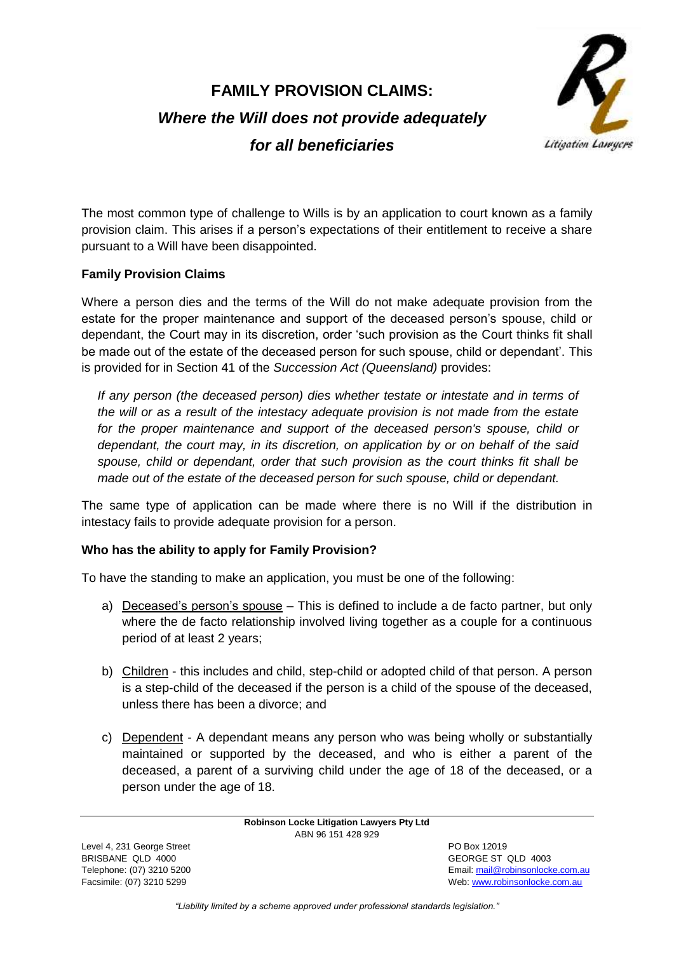# **FAMILY PROVISION CLAIMS:** *Where the Will does not provide adequately*



*for all beneficiaries*

The most common type of challenge to Wills is by an application to court known as a family provision claim. This arises if a person's expectations of their entitlement to receive a share pursuant to a Will have been disappointed.

## **Family Provision Claims**

Where a person dies and the terms of the Will do not make adequate provision from the estate for the proper maintenance and support of the deceased person's spouse, child or dependant, the Court may in its discretion, order 'such provision as the Court thinks fit shall be made out of the estate of the deceased person for such spouse, child or dependant'. This is provided for in Section 41 of the *Succession Act (Queensland)* provides:

*If any person (the deceased person) dies whether testate or intestate and in terms of the will or as a result of the intestacy adequate provision is not made from the estate for the proper maintenance and support of the deceased person's spouse, child or dependant, the court may, in its discretion, on application by or on behalf of the said spouse, child or dependant, order that such provision as the court thinks fit shall be made out of the estate of the deceased person for such spouse, child or dependant.*

The same type of application can be made where there is no Will if the distribution in intestacy fails to provide adequate provision for a person.

# **Who has the ability to apply for Family Provision?**

To have the standing to make an application, you must be one of the following:

- a) Deceased's person's spouse This is defined to include a de facto partner, but only where the de facto relationship involved living together as a couple for a continuous period of at least 2 years;
- b) Children this includes and child, step-child or adopted child of that person. A person is a step-child of the deceased if the person is a child of the spouse of the deceased, unless there has been a divorce; and
- c) Dependent A dependant means any person who was being wholly or substantially maintained or supported by the deceased, and who is either a parent of the deceased, a parent of a surviving child under the age of 18 of the deceased, or a person under the age of 18.

**Robinson Locke Litigation Lawyers Pty Ltd** ABN 96 151 428 929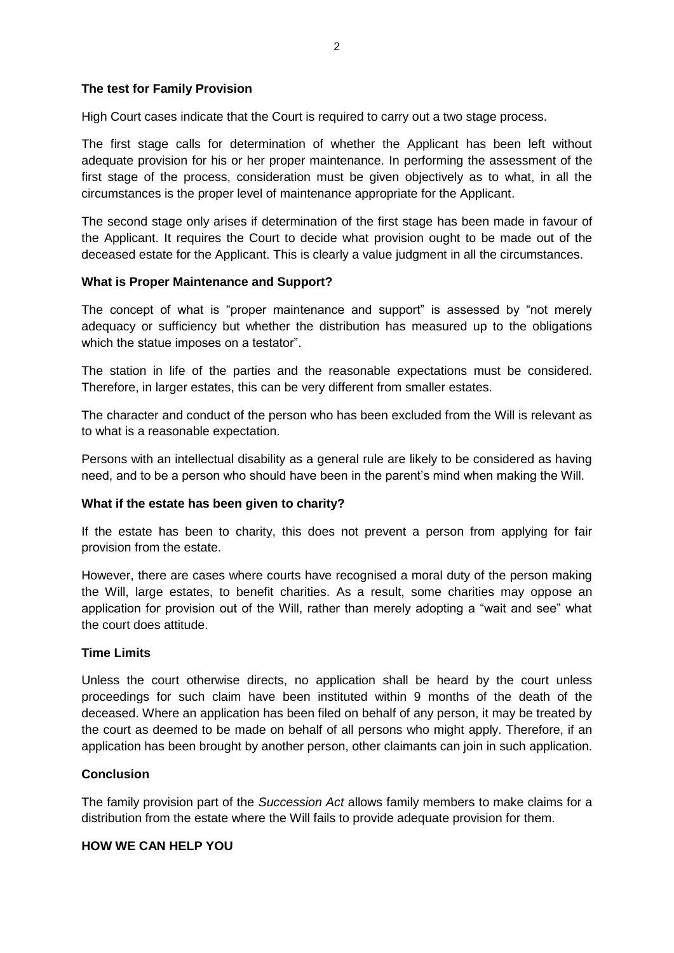## **The test for Family Provision**

High Court cases indicate that the Court is required to carry out a two stage process.

The first stage calls for determination of whether the Applicant has been left without adequate provision for his or her proper maintenance. In performing the assessment of the first stage of the process, consideration must be given objectively as to what, in all the circumstances is the proper level of maintenance appropriate for the Applicant.

The second stage only arises if determination of the first stage has been made in favour of the Applicant. It requires the Court to decide what provision ought to be made out of the deceased estate for the Applicant. This is clearly a value judgment in all the circumstances.

#### **What is Proper Maintenance and Support?**

The concept of what is "proper maintenance and support" is assessed by "not merely adequacy or sufficiency but whether the distribution has measured up to the obligations which the statue imposes on a testator".

The station in life of the parties and the reasonable expectations must be considered. Therefore, in larger estates, this can be very different from smaller estates.

The character and conduct of the person who has been excluded from the Will is relevant as to what is a reasonable expectation.

Persons with an intellectual disability as a general rule are likely to be considered as having need, and to be a person who should have been in the parent's mind when making the Will.

## **What if the estate has been given to charity?**

If the estate has been to charity, this does not prevent a person from applying for fair provision from the estate.

However, there are cases where courts have recognised a moral duty of the person making the Will, large estates, to benefit charities. As a result, some charities may oppose an application for provision out of the Will, rather than merely adopting a "wait and see" what the court does attitude.

#### **Time Limits**

Unless the court otherwise directs, no application shall be heard by the court unless proceedings for such claim have been instituted within 9 months of the death of the deceased. Where an application has been filed on behalf of any person, it may be treated by the court as deemed to be made on behalf of all persons who might apply. Therefore, if an application has been brought by another person, other claimants can join in such application.

#### **Conclusion**

The family provision part of the *Succession Act* allows family members to make claims for a distribution from the estate where the Will fails to provide adequate provision for them.

#### **HOW WE CAN HELP YOU**